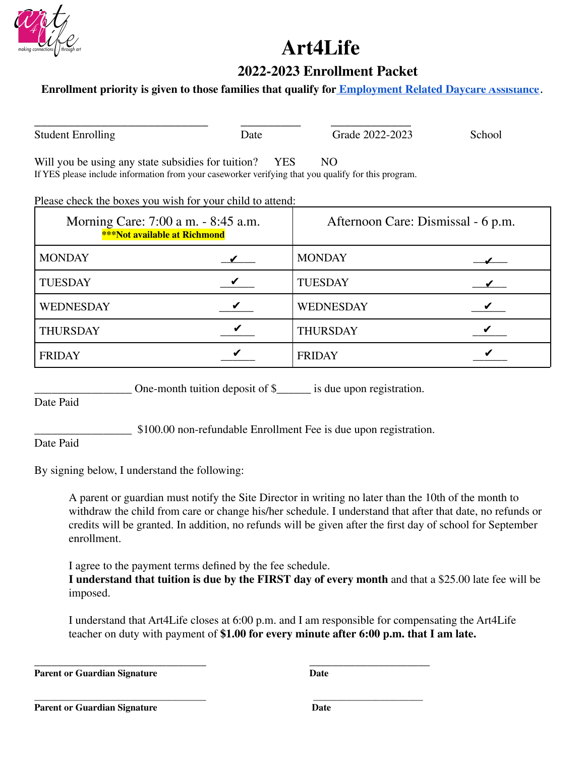

# Art4Life

# **2022-2023 Enrollment Packet**

### **Enrollment priority is given to those families that qualify for <b>Employment Related Daycare Assistance**.

Student Enrolling Date Date Grade 2022-2023 School

BBBBBBBBBBBBBBBBBBBBBBBBBB BBBBBBBBB BBBBBBBBBBBB BBBBBBB

Will you be using any state subsidies for tuition?  $YES$  NO

If YES please include information from your caseworker verifying that you qualify for this program.

Please check the boxes you wish for your child to attend:

| Morning Care: 7:00 a m. - 8:45 a.m.<br><b>***Not available at Richmond</b> | Afternoon Care: Dismissal - 6 p.m. |  |
|----------------------------------------------------------------------------|------------------------------------|--|
| <b>MONDAY</b>                                                              | <b>MONDAY</b>                      |  |
| <b>TUESDAY</b>                                                             | <b>TUESDAY</b>                     |  |
| WEDNESDAY                                                                  | <b>WEDNESDAY</b>                   |  |
| <b>THURSDAY</b>                                                            | <b>THURSDAY</b>                    |  |
| <b>FRIDAY</b>                                                              | <b>FRIDAY</b>                      |  |

One-month tuition deposit of  $\frac{1}{2}$  is due upon registration.

Date Paid

\$100.00 non-refundable Enrollment Fee is due upon registration.

Date Paid

By signing below, I understand the following:

A parent or guardian must notify the Site Director in writing no later than the 10th of the month to withdraw the child from care or change his/her schedule. I understand that after that date, no refunds or credits will be granted. In addition, no refunds will be given after the first day of school for September enrollment.

I agree to the payment terms defined by the fee schedule.

**BBBBBBBBBBBBBBBBBBBBBBBBBBBBBBBBBBBB BBBBBBBBBBBBBBBBBBBBBBB**

**I Understand that tuition is due by the FIRST day of every month and that a \$25.00 late fee will be** imposed.

I understand that Art4Life closes at 6:00 p.m. and I am responsible for compensating the Art4Life teacher on duty with payment of \$1.00 for every minute after 6:00 p.m. that I am late.

BBBBBBBBBBBBBBBBBBBBBBBBBBBBBB BBBBBBBBBBBBBBBBBBBBB **Parent or Guardian Signature** Date

**Parent or Guardian Signature But all properties But all properties But all properties 6.**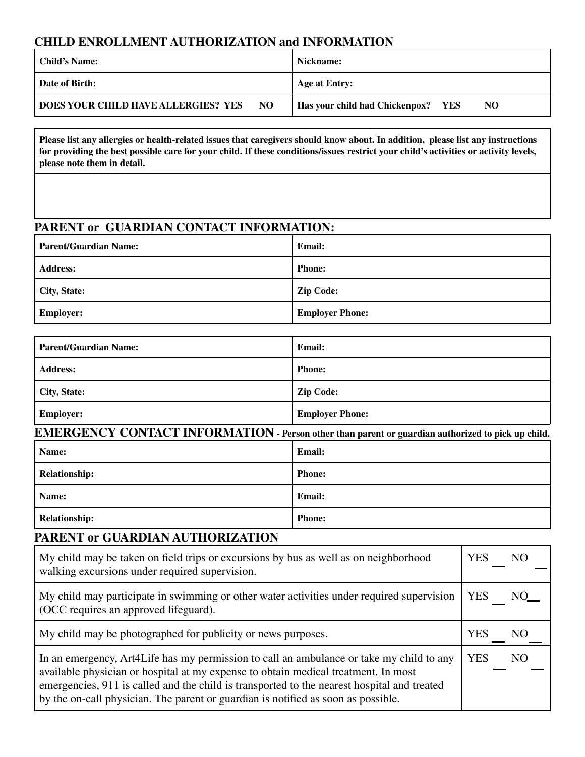### **CHILD ENROLLMENT AUTHORIZATION and INFORMATION**

| Child's Name:                                     | Nickname:                                       |  |  |
|---------------------------------------------------|-------------------------------------------------|--|--|
| Date of Birth:                                    | Age at Entry:                                   |  |  |
| <b>DOES YOUR CHILD HAVE ALLERGIES? YES</b><br>NO. | <b>Has your child had Chickenpox?</b> YES<br>NO |  |  |

Please list any allergies or health-related issues that caregivers should know about. In addition, please list any instructions for providing the best possible care for your child. If these conditions/issues restrict your child's activities or activity levels, please note them in detail.

### PARENT or GUARDIAN CONTACT INFORMATION:

| <b>Parent/Guardian Name:</b> | <b>Email:</b>          |
|------------------------------|------------------------|
| Address:                     | <b>Phone:</b>          |
| City, State:                 | <b>Zip Code:</b>       |
| <b>Employer:</b>             | <b>Employer Phone:</b> |

| <b>Parent/Guardian Name:</b> | <b>Email:</b>          |
|------------------------------|------------------------|
| <b>Address:</b>              | <b>Phone:</b>          |
| City, State:                 | <b>Zip Code:</b>       |
| <b>Employer:</b>             | <b>Employer Phone:</b> |

| EMERGENCY CONTACT INFORMATION - Person other than parent or guardian authorized to pick up child. |               |  |
|---------------------------------------------------------------------------------------------------|---------------|--|
| Name:                                                                                             | Email:        |  |
| Relationship:                                                                                     | <b>Phone:</b> |  |
| Name:                                                                                             | Email:        |  |
| <b>Relationship:</b>                                                                              | <b>Phone:</b> |  |

### PARENT or GUARDIAN AUTHORIZATION

| My child may be taken on field trips or excursions by bus as well as on neighborhood                                                                                                                                                                                                                                                                               | <b>YES</b>                   |
|--------------------------------------------------------------------------------------------------------------------------------------------------------------------------------------------------------------------------------------------------------------------------------------------------------------------------------------------------------------------|------------------------------|
| walking excursions under required supervision.                                                                                                                                                                                                                                                                                                                     | NO.                          |
| My child may participate in swimming or other water activities under required supervision                                                                                                                                                                                                                                                                          | <b>YES</b>                   |
| (OCC requires an approved lifeguard).                                                                                                                                                                                                                                                                                                                              | NO                           |
| My child may be photographed for publicity or news purposes.                                                                                                                                                                                                                                                                                                       | <b>YES</b><br>NO.            |
| In an emergency, Art4Life has my permission to call an ambulance or take my child to any<br>available physician or hospital at my expense to obtain medical treatment. In most<br>emergencies, 911 is called and the child is transported to the nearest hospital and treated<br>by the on-call physician. The parent or guardian is notified as soon as possible. | <b>YES</b><br>N <sub>O</sub> |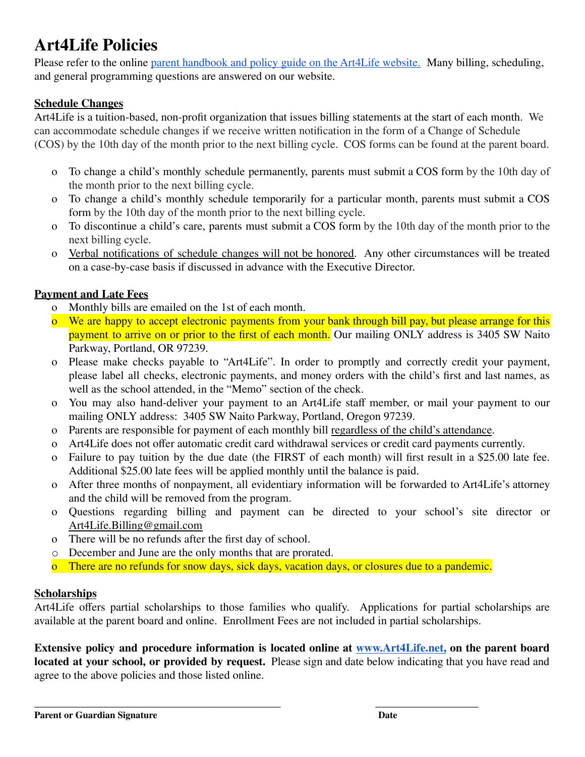# **Art4Life Policies**

Please refer to the online parent handbook and policy guide on the Art4Life website. Many billing, scheduling, and general programming questions are answered on our website.

### **Schedule Changes**

Art4Life is a tuition-based, non-profit organization that issues billing statements at the start of each month. We can accommodate schedule changes if we receive written notification in the form of a Change of Schedule (COS) by the 10th day of the month prior to the next billing cycle. COS forms can be found at the parent board.

- To change a child's monthly schedule permanently, parents must submit a COS form by the 10th day of  $\Omega$ the month prior to the next billing cycle.
- o To change a child's monthly schedule temporarily for a particular month, parents must submit a COS form by the 10th day of the month prior to the next billing cycle.
- o To discontinue a child's care, parents must submit a COS form by the 10th day of the month prior to the next billing cycle.
- Verbal notifications of schedule changes will not be honored. Any other circumstances will be treated  $\Omega$ on a case-by-case basis if discussed in advance with the Executive Director.

### **Payment and Late Fees**

- o Monthly bills are emailed on the 1st of each month.
- o We are happy to accept electronic payments from your bank through bill pay, but please arrange for this payment to arrive on or prior to the first of each month. Our mailing ONLY address is 3405 SW Naito Parkway, Portland, OR 97239.
- o Please make checks payable to "Art4Life". In order to promptly and correctly credit your payment, please label all checks, electronic payments, and money orders with the child's first and last names, as well as the school attended, in the "Memo" section of the check.
- o You may also hand-deliver your payment to an Art4Life staff member, or mail your payment to our mailing ONLY address: 3405 SW Naito Parkway, Portland, Oregon 97239.
- o Parents are responsible for payment of each monthly bill regardless of the child's attendance.
- o Art4Life does not offer automatic credit card withdrawal services or credit card payments currently.
- o Failure to pay tuition by the due date (the FIRST of each month) will first result in a \$25.00 late fee. Additional \$25.00 late fees will be applied monthly until the balance is paid.
- o After three months of nonpayment, all evidentiary information will be forwarded to Art4Life's attorney and the child will be removed from the program.
- o Questions regarding billing and payment can be directed to your school's site director or Art4Life.Billing@gmail.com
- o There will be no refunds after the first day of school.
- December and June are the only months that are prorated.
- o There are no refunds for snow days, sick days, vacation days, or closures due to a pandemic.

#### **Scholarships**

Art4Life offers partial scholarships to those families who qualify. Applications for partial scholarships are available at the parent board and online. Enrollment Fees are not included in partial scholarships.

Extensive policy and procedure information is located online at www.Art4Life.net, on the parent board located at your school, or provided by request. Please sign and date below indicating that you have read and agree to the above policies and those listed online.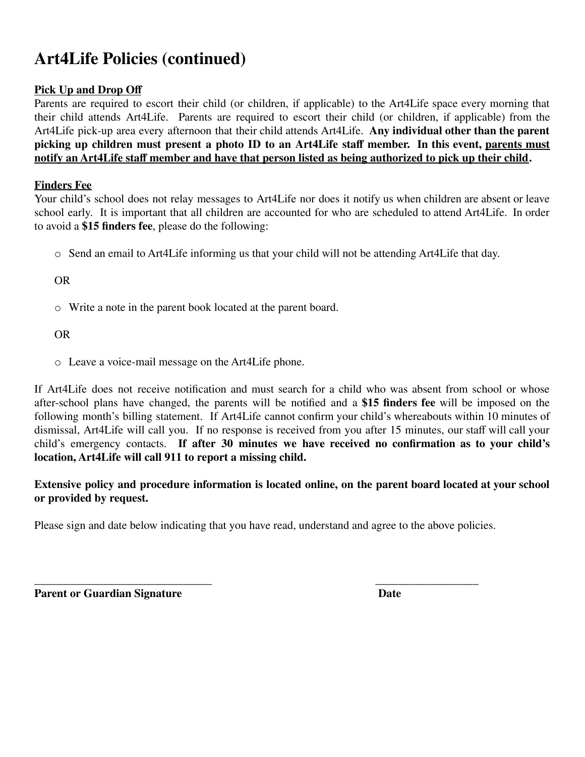# **Art4Life Policies** (continued)

### **Pick Up and Drop Oij**

Parents are required to escort their child (or children, if applicable) to the Art4Life space every morning that their child attends Art4Life. Parents are required to escort their child (or children, if applicable) from the Art4Life pick-up area every afternoon that their child attends Art4Life. **Any individual other than the parent** picking up children must present a photo ID to an Art4Life staff member. In this event, parents must **notify** an **Art4Life** staff member and have that person listed as being authorized to pick up their child.

### **Finders Fee**

Your child's school does not relay messages to Art4Life nor does it notify us when children are absent or leave school early. It is important that all children are accounted for who are scheduled to attend Art4Life. In order to avoid a **\$15 finders fee**, please do the following:

 $\circ$  Send an email to Art4Life informing us that your child will not be attending Art4Life that day.

OR

 $\circ$  Write a note in the parent book located at the parent board.

OR

o Leave a voice-mail message on the Art4Life phone.

If Art4Life does not receive notification and must search for a child who was absent from school or whose after-school plans have changed, the parents will be notified and a \$15 **finders fee** will be imposed on the following month's billing statement. If Art4Life cannot confirm your child's whereabouts within 10 minutes of dismissal, Art4Life will call you. If no response is received from you after 15 minutes, our staff will call your child's emergency contacts. If after 30 minutes we have received no confirmation as to your child's **location, Art4Life** will call 911 to report a missing child.

**Extensive policy and procedure information is located online, on the parent board located at your school or** provided by request.

Please sign and date below indicating that you have read, understand and agree to the above policies.

\_\_\_\_\_\_\_\_\_\_\_\_\_\_\_\_\_\_\_\_\_\_\_\_\_\_\_\_\_\_\_ \_\_\_\_\_\_\_\_\_\_\_\_\_\_\_\_\_\_ **Parent or Guardian Signature Date**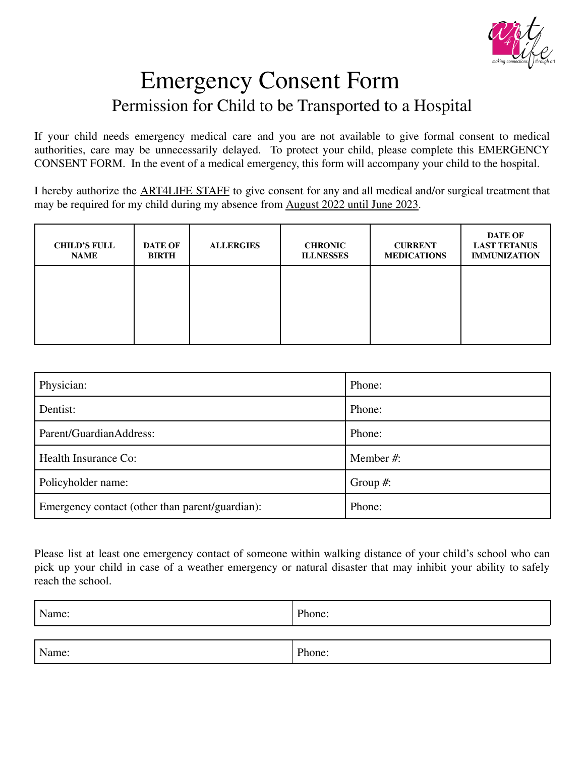

# **Emergency Consent Form** Permission for Child to be Transported to a Hospital

If your child needs emergency medical care and you are not available to give formal consent to medical authorities, care may be unnecessarily delayed. To protect your child, please complete this EMERGENCY CONSENT FORM. In the event of a medical emergency, this form will accompany your child to the hospital.

I hereby authorize the ART4LIFE STAFF to give consent for any and all medical and/or surgical treatment that may be required for my child during my absence from August 2022 until June 2023.

| <b>CHILD'S FULL</b><br><b>NAME</b> | <b>DATE OF</b><br><b>BIRTH</b> | <b>ALLERGIES</b> | <b>CHRONIC</b><br><b>ILLNESSES</b> | <b>CURRENT</b><br><b>MEDICATIONS</b> | <b>DATE OF</b><br><b>LAST TETANUS</b><br><b>IMMUNIZATION</b> |
|------------------------------------|--------------------------------|------------------|------------------------------------|--------------------------------------|--------------------------------------------------------------|
|                                    |                                |                  |                                    |                                      |                                                              |
|                                    |                                |                  |                                    |                                      |                                                              |

| Physician:                                      | Phone:      |
|-------------------------------------------------|-------------|
| Dentist:                                        | Phone:      |
| Parent/GuardianAddress:                         | Phone:      |
| Health Insurance Co:                            | Member #:   |
| Policyholder name:                              | Group $#$ : |
| Emergency contact (other than parent/guardian): | Phone:      |

Please list at least one emergency contact of someone within walking distance of your child's school who can pick up your child in case of a weather emergency or natural disaster that may inhibit your ability to safely reach the school

| Name: | Phone: |
|-------|--------|
|       |        |
|       |        |

Phone:

Name: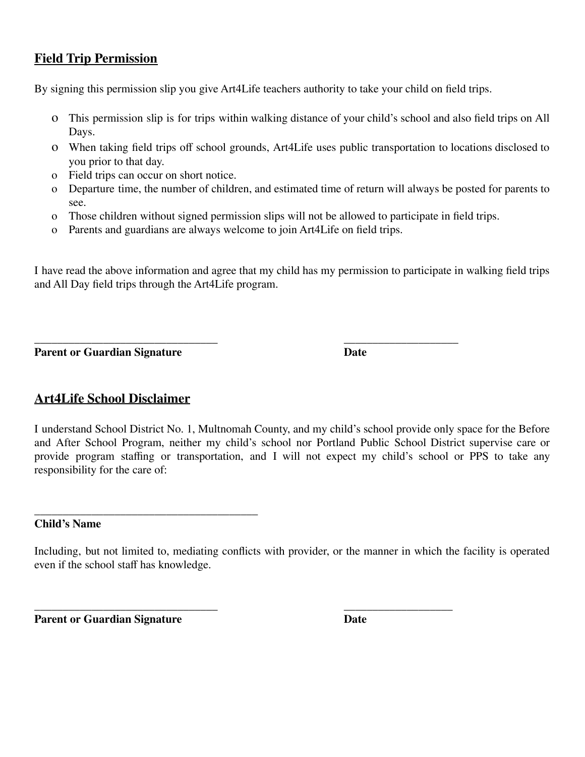# **Field Trip Permission**

By signing this permission slip you give Art4Life teachers authority to take your child on field trips.

- O This permission slip is for trips within walking distance of your child's school and also field trips on All Days.
- o When taking field trips off school grounds, Art4Life uses public transportation to locations disclosed to you prior to that day.
- o Field trips can occur on short notice.
- o Departure time, the number of children, and estimated time of return will always be posted for parents to see
- o Those children without signed permission slips will not be allowed to participate in field trips.
- o Parents and guardians are always welcome to join Art4Life on field trips.

I have read the above information and agree that my child has my permission to participate in walking field trips and All Day field trips through the Art4Life program.

**Parent or Guardian Signature** 

**Date** 

# **Art4Life School Disclaimer**

I understand School District No. 1, Multnomah County, and my child's school provide only space for the Before and After School Program, neither my child's school nor Portland Public School District supervise care or provide program staffing or transportation, and I will not expect my child's school or PPS to take any responsibility for the care of:

**Child's Name** 

**Parent or Guardian Signature** 

**Date** 

Including, but not limited to, mediating conflicts with provider, or the manner in which the facility is operated even if the school staff has knowledge.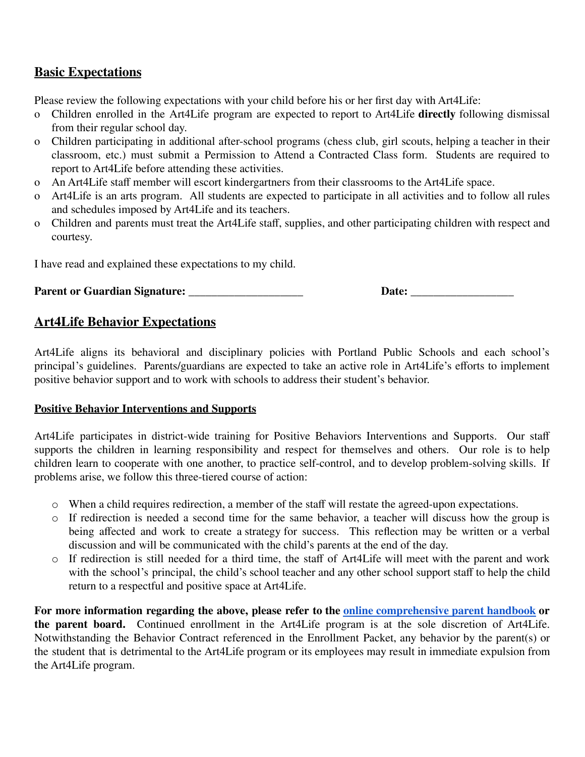# **Basic Expectations**

Please review the following expectations with your child before his or her first day with Art4Life:

- o Children enrolled in the Art4Life program are expected to report to Art4Life **directly** following dismissal from their regular school day.
- o Children participating in additional after-school programs (chess club, girl scouts, helping a teacher in their classroom, etc.) must submit a Permission to Attend a Contracted Class form. Students are required to report to Art4Life before attending these activities.
- o An Art4Life staff member will escort kindergartners from their classrooms to the Art4Life space.
- o Art4Life is an arts program. All students are expected to participate in all activities and to follow all rules and schedules imposed by Art4Life and its teachers.
- o Children and parents must treat the Art4Life staff, supplies, and other participating children with respect and courtesy.

I have read and explained these expectations to my child.

#### Parent or Guardian Signature:

## **Art4Life Behavior Expectations**

Art4Life aligns its behavioral and disciplinary policies with Portland Public Schools and each school's principal's guidelines. Parents/guardians are expected to take an active role in Art4Life's efforts to implement positive behavior support and to work with schools to address their student's behavior.

#### **Positive Behavior Interventions and Supports**

Art4Life participates in district-wide training for Positive Behaviors Interventions and Supports. Our staff supports the children in learning responsibility and respect for themselves and others. Our role is to help children learn to cooperate with one another, to practice self-control, and to develop problem-solving skills. If problems arise, we follow this three-tiered course of action:

- o When a child requires redirection, a member of the staff will restate the agreed-upon expectations.
- If redirection is needed a second time for the same behavior, a teacher will discuss how the group is being affected and work to create a strategy for success. This reflection may be written or a verbal discussion and will be communicated with the child's parents at the end of the day.
- o If redirection is still needed for a third time, the staff of Art4Life will meet with the parent and work with the school's principal, the child's school teacher and any other school support staff to help the child return to a respectful and positive space at Art4Life.

For more information regarding the above, please refer to the online comprehensive parent handbook or the parent board. Continued enrollment in the Art4Life program is at the sole discretion of Art4Life. Notwithstanding the Behavior Contract referenced in the Enrollment Packet, any behavior by the parent(s) or the student that is detrimental to the Art4Life program or its employees may result in immediate expulsion from the Art4Life program.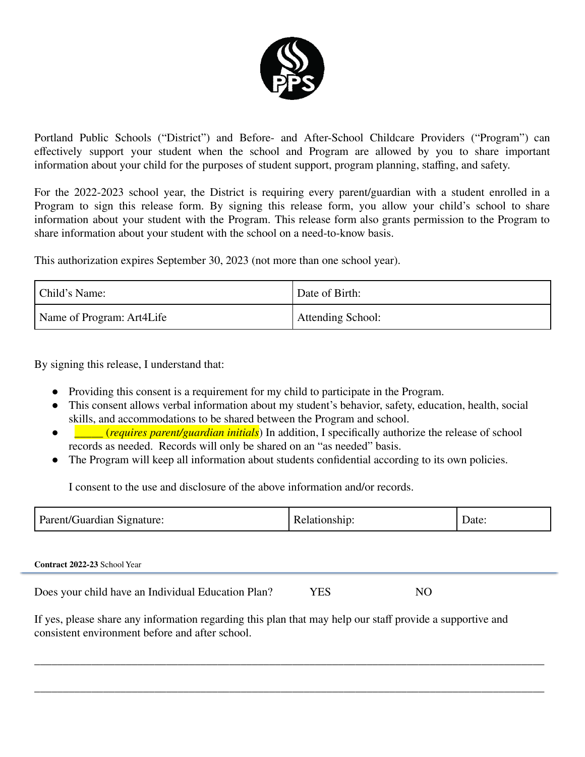

Portland Public Schools ("District") and Before- and After-School Childcare Providers ("Program") can effectively support your student when the school and Program are allowed by you to share important information about your child for the purposes of student support, program planning, staffing, and safety.

For the 2022-2023 school year, the District is requiring every parent/guardian with a student enrolled in a Program to sign this release form. By signing this release form, you allow your child's school to share information about your student with the Program. This release form also grants permission to the Program to share information about your student with the school on a need-to-know basis.

This authorization expires September 30, 2023 (not more than one school year).

| Child's Name:             | Date of Birth:    |  |
|---------------------------|-------------------|--|
| Name of Program: Art4Life | Attending School: |  |

By signing this release, I understand that:

- Providing this consent is a requirement for my child to participate in the Program.
- This consent allows verbal information about my student's behavior, safety, education, health, social skills, and accommodations to be shared between the Program and school.
- *(requires parent/guardian initials)* In addition, I specifically authorize the release of school  $\bullet$ records as needed. Records will only be shared on an "as needed" basis.
- The Program will keep all information about students confidential according to its own policies.

I consent to the use and disclosure of the above information and/or records

| Parent/Guardian<br>signature: | Relationship: | Date: |
|-------------------------------|---------------|-------|
|-------------------------------|---------------|-------|

Contract 2022-23 School Year

Does your child have an Individual Education Plan? **YES** N<sub>O</sub>

If yes, please share any information regarding this plan that may help our staff provide a supportive and consistent environment before and after school